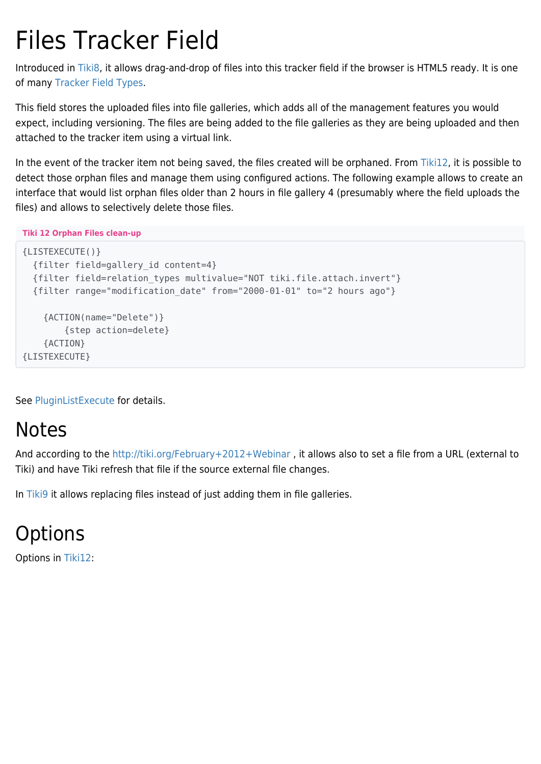# Files Tracker Field

Introduced in [Tiki8,](https://doc.tiki.org/Tiki8) it allows drag-and-drop of files into this tracker field if the browser is HTML5 ready. It is one of many [Tracker Field Types.](https://doc.tiki.org/Tracker-Field-Types)

This field stores the uploaded files into file galleries, which adds all of the management features you would expect, including versioning. The files are being added to the file galleries as they are being uploaded and then attached to the tracker item using a virtual link.

In the event of the tracker item not being saved, the files created will be orphaned. From [Tiki12](https://doc.tiki.org/Tiki12), it is possible to detect those orphan files and manage them using configured actions. The following example allows to create an interface that would list orphan files older than 2 hours in file gallery 4 (presumably where the field uploads the files) and allows to selectively delete those files.

**Tiki 12 Orphan Files clean-up**

```
{LISTEXECUTE()}
   {filter field=gallery_id content=4}
   {filter field=relation_types multivalue="NOT tiki.file.attach.invert"}
   {filter range="modification_date" from="2000-01-01" to="2 hours ago"}
     {ACTION(name="Delete")}
         {step action=delete}
     {ACTION}
{LISTEXECUTE}
```
See [PluginListExecute](https://doc.tiki.org/PluginListExecute) for details.

# Notes

And according to the <http://tiki.org/February+2012+Webinar>, it allows also to set a file from a URL (external to Tiki) and have Tiki refresh that file if the source external file changes.

In [Tiki9](https://doc.tiki.org/Tiki9) it allows replacing files instead of just adding them in file galleries.

**Options** 

Options in [Tiki12](https://doc.tiki.org/Tiki12):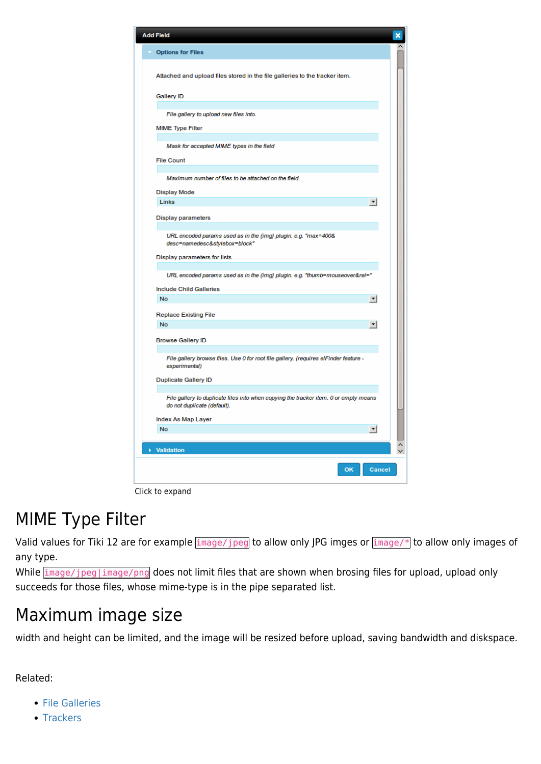| <b>Add Field</b>                                                                                                    | × |
|---------------------------------------------------------------------------------------------------------------------|---|
| <b>Options for Files</b>                                                                                            |   |
| Attached and upload files stored in the file galleries to the tracker item.                                         |   |
| <b>Gallery ID</b>                                                                                                   |   |
| File gallery to upload new files into.                                                                              |   |
| <b>MIME Type Filter</b>                                                                                             |   |
| Mask for accepted MIME types in the field                                                                           |   |
| <b>File Count</b>                                                                                                   |   |
| Maximum number of files to be attached on the field.                                                                |   |
| <b>Display Mode</b>                                                                                                 |   |
| Links<br>$\vert$                                                                                                    |   |
| <b>Display parameters</b>                                                                                           |   |
| URL encoded params used as in the {img} plugin. e.g. "max=400&<br>desc=namedesc&stylebox=block"                     |   |
| Display parameters for lists                                                                                        |   |
| URL encoded params used as in the {img} plugin. e.g. "thumb=mouseover&rel="                                         |   |
| <b>Include Child Galleries</b>                                                                                      |   |
| <b>No</b><br>$\mathbf{v}$                                                                                           |   |
| <b>Replace Existing File</b>                                                                                        |   |
| <b>No</b><br>$\overline{\phantom{a}}$                                                                               |   |
| <b>Browse Gallery ID</b>                                                                                            |   |
| File gallery browse files. Use 0 for root file gallery. (requires elFinder feature -<br>experimental)               |   |
| Duplicate Gallery ID                                                                                                |   |
| File gallery to duplicate files into when copying the tracker item. 0 or empty means<br>do not duplicate (default). |   |
| Index As Map Layer                                                                                                  |   |
| No<br>$\vert \cdot \vert$                                                                                           |   |
| <b>Validation</b>                                                                                                   |   |
| <b>Cancel</b><br>OK                                                                                                 |   |

#### Click to expand

## MIME Type Filter

Valid values for Tiki 12 are for example image/jpeg to allow only JPG imges or image/\* to allow only images of any type.

While  $\frac{1}{2}$  image/jpeg|image/png does not limit files that are shown when brosing files for upload, upload only succeeds for those files, whose mime-type is in the pipe separated list.

### Maximum image size

width and height can be limited, and the image will be resized before upload, saving bandwidth and diskspace.

Related:

- **[File Galleries](https://doc.tiki.org/File%20Galleries)**
- [Trackers](https://doc.tiki.org/Trackers)